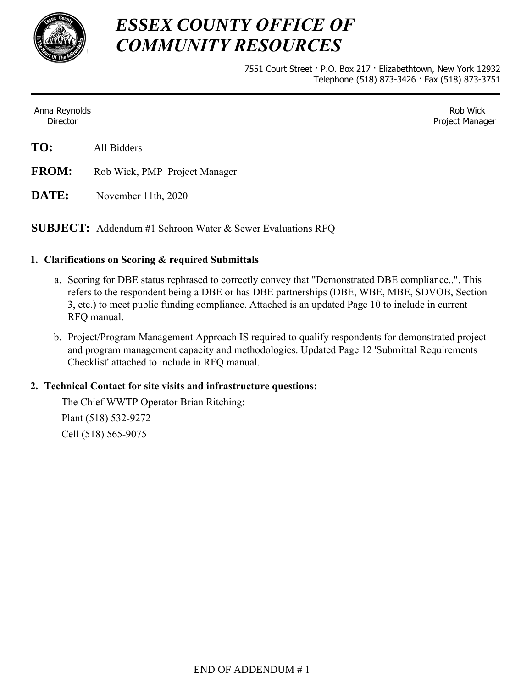

# *ESSEX COUNTY OFFICE OF COMMUNITY RESOURCES*

7551 Court Street · P.O. Box 217 · Elizabethtown, New York 12932 Telephone (518) 873-3426 · Fax (518) 873-3751

Anna Reynolds Director

Rob Wick Project Manager

- **FROM:** Rob Wick, PMP Project Manager
- **DATE:** November 11th, 2020

**SUBJECT:** Addendum #1 Schroon Water & Sewer Evaluations RFQ

### **1. Clarifications on Scoring & required Submittals**

- a. Scoring for DBE status rephrased to correctly convey that "Demonstrated DBE compliance..". This refers to the respondent being a DBE or has DBE partnerships (DBE, WBE, MBE, SDVOB, Section 3, etc.) to meet public funding compliance. Attached is an updated Page 10 to include in current RFQ manual.
- b. Project/Program Management Approach IS required to qualify respondents for demonstrated project and program management capacity and methodologies. Updated Page 12 'Submittal Requirements Checklist' attached to include in RFQ manual.

#### **2. Technical Contact for site visits and infrastructure questions:**

The Chief WWTP Operator Brian Ritching:

Plant (518) 532-9272 Cell (518) 565-9075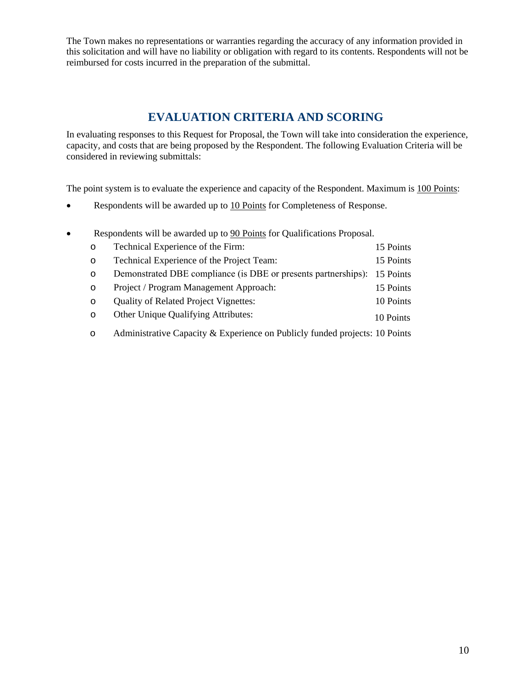The Town makes no representations or warranties regarding the accuracy of any information provided in this solicitation and will have no liability or obligation with regard to its contents. Respondents will not be reimbursed for costs incurred in the preparation of the submittal.

## **EVALUATION CRITERIA AND SCORING**

In evaluating responses to this Request for Proposal, the Town will take into consideration the experience, capacity, and costs that are being proposed by the Respondent. The following Evaluation Criteria will be considered in reviewing submittals:

The point system is to evaluate the experience and capacity of the Respondent. Maximum is 100 Points:

Respondents will be awarded up to 10 Points for Completeness of Response.

| $\bullet$ | Respondents will be awarded up to 90 Points for Qualifications Proposal. |                                                                             |           |
|-----------|--------------------------------------------------------------------------|-----------------------------------------------------------------------------|-----------|
|           | $\circ$                                                                  | Technical Experience of the Firm:                                           | 15 Points |
|           | O                                                                        | Technical Experience of the Project Team:                                   | 15 Points |
|           | $\circ$                                                                  | Demonstrated DBE compliance (is DBE or presents partnerships): 15 Points    |           |
|           | $\circ$                                                                  | Project / Program Management Approach:                                      | 15 Points |
|           | $\circ$                                                                  | <b>Quality of Related Project Vignettes:</b>                                | 10 Points |
|           | $\circ$                                                                  | Other Unique Qualifying Attributes:                                         | 10 Points |
|           | $\circ$                                                                  | Administrative Capacity & Experience on Publicly funded projects: 10 Points |           |

10